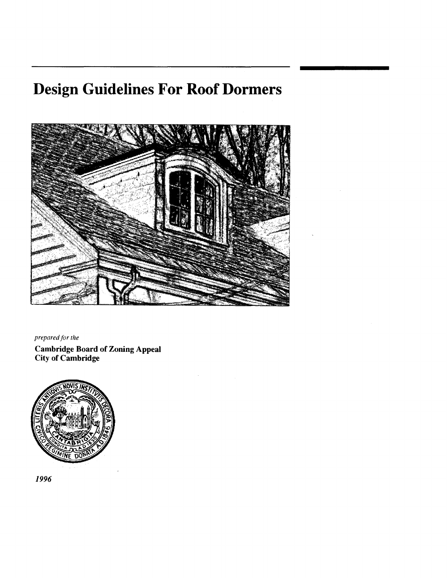# **Design Guidelines For Roof Dormers**



*prepared for the* 

Cambridge Board of Zoning Appeal City of Cambridge



1996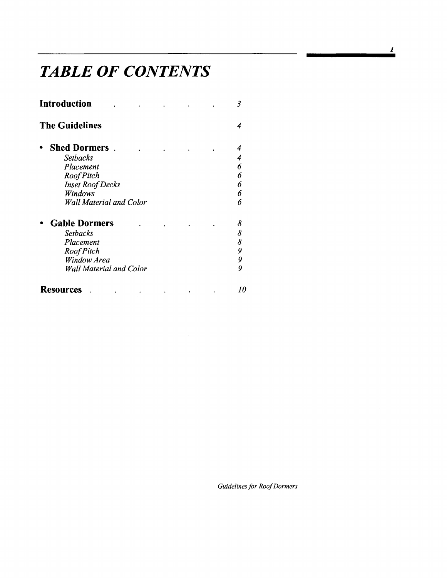## *TABLE OF CONTENTS*

| Introduction          |                                |  |  | 3  |
|-----------------------|--------------------------------|--|--|----|
| <b>The Guidelines</b> |                                |  |  |    |
|                       | <b>Shed Dormers</b>            |  |  |    |
|                       | <b>Setbacks</b>                |  |  |    |
|                       | Placement                      |  |  | 6  |
|                       | Roof Pitch                     |  |  | 6  |
|                       | <b>Inset Roof Decks</b>        |  |  | 6  |
|                       | Windows                        |  |  | 6  |
|                       | Wall Material and Color        |  |  | 6  |
|                       | <b>Gable Dormers</b>           |  |  | 8  |
|                       | <b>Setbacks</b>                |  |  | 8  |
|                       | Placement                      |  |  | 8  |
|                       | Roof Pitch                     |  |  | 9  |
|                       | Window Area                    |  |  | 9  |
|                       | <b>Wall Material and Color</b> |  |  | 9  |
| Resources             |                                |  |  | 10 |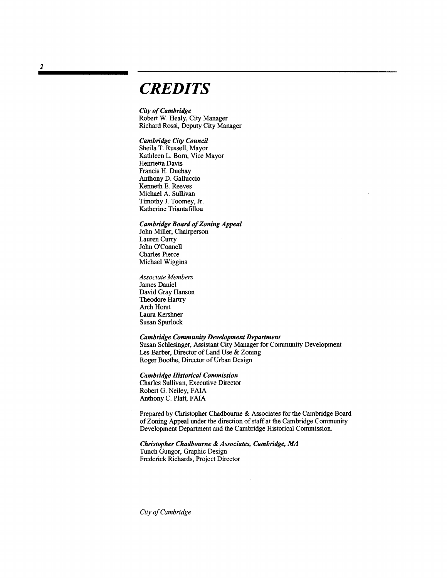#### *CREDITS*

**City of Cambridge** Robert W. Healy, City Manager Richard Rossi, Deputy City Manager

*Cambridge City Council*  Sheila T. Russell, Mayor Kathleen L. Born, Vice Mayor Henrietta Davis Francis H. Duehay Anthony D. Galluccio Kenneth E. Reeves Michael A. Sullivan Timothy J. Toomey, Jr. Katherine Triantafillou

*Cambridge Board of Zoning Appeal* John Miller, Chairperson Lauren Curry John O'Connell Charles Pierce Michael Wiggins

*Associate Members*  James Daniel David Gray Hanson Theodore Hartry Arch Horst Laura Kershner Susan Spurlock

*Cambridge Community Development Department*  Susan Schlesinger, Assistant City Manager for Community Development Les Barber, Director of Land Use & Zoning Roger Boothe, Director of Urban Design

*Cambridge Historical Commission* 

Charles Sullivan, Executive Director RobertG. Neiley, FAIA Anthony C. Platt, FAIA

Prepared by Christopher Chadbourne & Associates for the Cambridge Board of Zoning Appeal under the direction of staff at the Cambridge Community Development Department and the Cambridge Historical Commission.

*Christopher Chadbourne* & *Associates, Cambridge, MA*  Tunch Gungor, Graphic Design Frederick Richards, Project Director

*City a/Cambridge*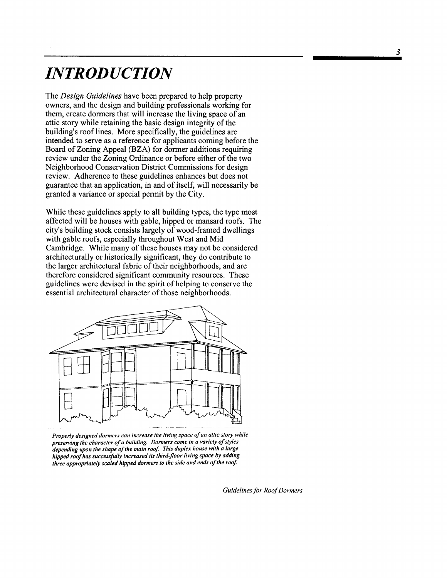### *INTRODUCTION*

The *Design Guidelines* have been prepared to help property owners, and the design and building professionals working for them, create dormers that will increase the living space of an attic story while retaining the basic design integrity of the building's roof lines. More specifically, the guidelines are intended to serve as a reference for applicants coming before the Board of Zoning Appeal (BZA) for dormer additions requiring review under the Zoning Ordinance or before either of the two Neighborhood Conservation District Commissions for design review. Adherence to these guidelines enhances but does not guarantee that an application, in and of itself, will necessarily be granted a variance or special permit by the City.

While these guidelines apply to all building types, the type most affected will be houses with gable, hipped or mansard roofs. The city's building stock consists largely of wood-framed dwellings with gable roofs, especially throughout West and Mid Cambridge. While many of these houses may not be considered architecturally or historically significant, they do contribute to the larger architectural fabric of their neighborhoods, and are therefore considered significant community resources. These guidelines were devised in the spirit of helping to conserve the essential architectural character of those neighborhoods.



Properly designed dormers can increase the living space of an attic story while preserving the character of a building. Dormers come in a variety of styles depending upon the shape of the main roof. This duplex house with a large *hipped roofhas successfully increased its third-floor living space by adding three appropriately scaled hipped dormers to the side and ends ofthe roof*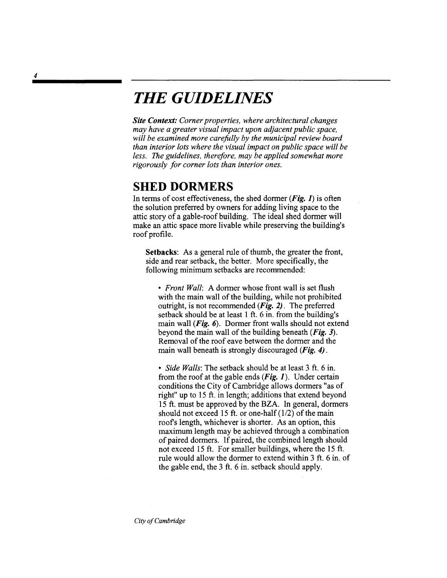#### *THE GUIDELINES*

*Site Context: Corner properties, where architectural changes may have a greater visual impact upon adjacent public space, will be examined more carefully by the municipal review board than interior lots where the visual impact on public space will be less. The guidelines, therefore, may be applied somewhat more rigorously for corner lots than interior ones.* 

#### **SHED DORMERS**

In terms of cost effectiveness, the shed dormer (**Fig. 1**) is often the solution preferred by owners for adding living space to the attic story of a gable-roof building. The ideal shed dormer will make an attic space more livable while preserving the building's roof profile.

Setbacks: As a general rule of thumb, the greater the front, side and rear setback, the better. More specifically, the following minimum setbacks are recommended:

*• Front Wall:* A dormer whose front wall is set flush with the main wall of the building, while not prohibited outright, is not recommended  $(Fig. 2)$ . The preferred setback should be at least 1 ft. 6 in. from the building's main wall ( $Fig. 6$ ). Dormer front walls should not extend beyond the main wall of the building beneath  $(Fig. 3)$ . Removal of the roof eave between the dormer and the main wall beneath is strongly discouraged (Fig. 4).

*• Side Walls:* The setback should be at least 3 ft. 6 in. from the roof at the gable ends  $(Fig. 1)$ . Under certain conditions the City of Cambridge allows dormers "as of right" up to 15 ft. in length; additions that extend beyond 15 ft. must be approved by the BZA. In general, dormers should not exceed 15 ft. or one-half  $(1/2)$  of the main roofs length, whichever is shorter. As an option, this maximum length may be achieved through a combination of paired dormers. If paired, the combined length should not exceed 15 ft. For smaller buildings, where the 15 ft. rule would allow the dormer to extend within 3 ft. 6 in. of the gable end, the 3 ft. 6 in. setback should apply.

4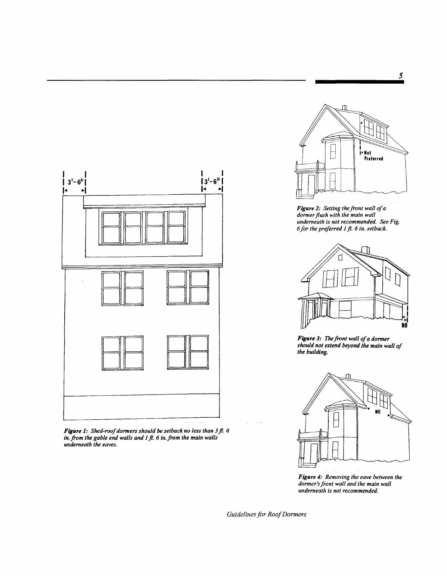

*Figure* 2: *Setting the front wall ofa dormer flush with the main wall underneath is not recommended. See Fig. 6for the preferred* J*fl.* 6 *in. setback.* 



*Figure 3: The front wall of a dormer should not extend beyond the main wa the building. should not extend beyond the main wall of the building.* 



*Figure* 4: *Removing the eave between the dormer's front wall and the main wall underneath is not recommended.* 



*Figure 1: Shed-roof dormers should be setback no less than 3ft. 6 in. from the gable end walls and* J*ft.* 6 *in.from the main walls underneath the.eaves.*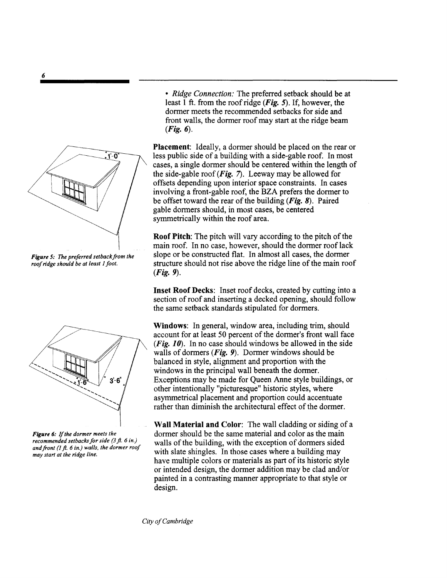

**Figure 5:** The preferred setback from the *roofridge should be at least* J*foot.* 



*Figure* 6: If*the dormer meets the recommended setbacks for side (3.fl.* 6 *in.) andfront (l.fl.* 6 *in.) walls. the dormer roof may start at the ridge line.* 

*• Ridge Connection:* The preferred setback should be at least 1 ft. from the roof ridge  $(Fig. 5)$ . If, however, the dormer meets the recommended setbacks for side and front walls, the dormer roof may start at the ridge beam  $(Fig. 6)$ .

Placement: Ideally, a dormer should be placed on the rear or less public side of a building with a side-gable roof. In most cases, a single dormer should be centered within the length of the side-gable roof  $(Fig. 7)$ . Leeway may be allowed for offsets depending upon interior space constraints. In cases involving a front-gable roof, the BZA prefers the dormer to be offset toward the rear of the building  $(Fig. 8)$ . Paired gable dormers should, in most cases, be centered symmetrically within the roof area.

Roof Pitch: The pitch will vary according to the pitch of the main roof. In no case, however, should the dormer roof lack slope or be constructed flat. In almost all cases, the dormer structure should not rise above the ridge line of the main roof (Fig. 9).

Inset Roof Decks: Inset roof decks, created by cutting into a section of roof and inserting a decked opening, should follow the same setback standards stipulated for dormers.

Windows: In general, window area, including trim, should account for at least 50 percent of the dormer's front wall face (Fig.  $10$ ). In no case should windows be allowed in the side walls of dormers  $(Fig. 9)$ . Dormer windows should be balanced in style, alignment and proportion with the windows in the principal wall beneath the dormer. Exceptions may be made for Queen Anne style buildings, or other intentionally "picturesque" historic styles, where asymmetrical placement and proportion could accentuate rather than diminish the architectural effect of the dormer.

Wall Material and Color: The wall cladding or siding of a dormer should be the same material and color as the main walls of the building, with the exception of dormers sided with slate shingles. In those cases where a building may have multiple colors or materials as part of its historic style or intended design, the dormer addition may be clad and/or painted in a contrasting manner appropriate to that style or design.

*City a/Cambridge*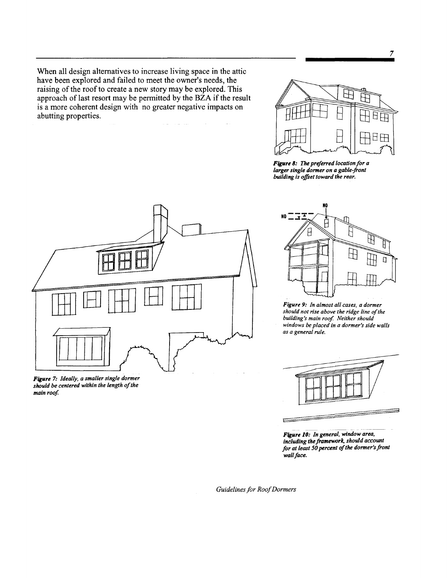When all design alternatives to increase living space in the attic have been explored and failed to meet the owner's needs, the raising of the roof to create a new story may be explored. This approach of last resort may be permitted by the BZA if the result is a more coherent design with no greater negative impacts on abutting properties.



*Figure* 8: The *pre/erred location for a larger single dormer on a gable-front building is offset toward the rear.* 



*Figure* 7: *Ideally, a smaller single dormer should be centered within the length o/the*  main roof.



*Figure* 9: *In almost all cases, a dormer should not rise above the ridge line o/the building's main roof Neither should windows be placed in a dormer's side walls as a general rule.* 



*Figure 10: In general, window area, including the framework, should account for at least 50 percent 0/the dormer's front wall/ace.*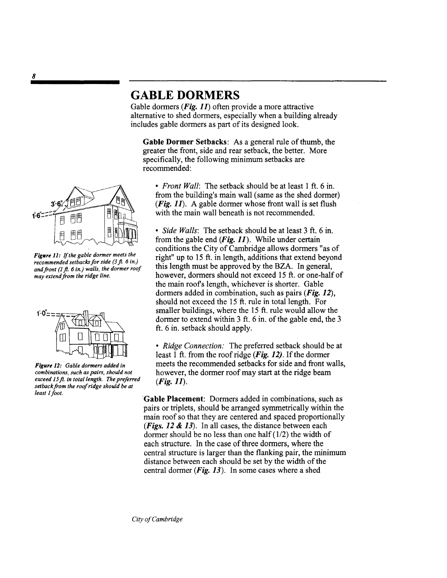#### **GABLE DORMERS**

Gable dormers ( $Fig. 11$ ) often provide a more attractive alternative to shed dormers, especially when a building already includes gable dormers as part of its designed look.

**Gable Dormer** Setbacks: As a general rule of thumb, the greater the front, side and rear setback, the better. More specifically, the following minimum setbacks are recommended:



Figure 11: If the gable dormer meets the *recommended setbacks for side* (3ft. 6 *in.) andfront* (J ft. 6 in.) *walls, the dormer roof may extendfrom the ridge line.* 



*Figure* 12: *Gable dormers added* in *combinations, such as pairs, should not exceed* J5ft. in *total length. The preforred setback from the roofridge should be at least* J*foot.* 

*• Front Wall:* The setback should be at least 1 ft. 6 in. from the building's main wall (same as the shed dormer) (Fig. 11). A gable dormer whose front wall is set flush with the main wall beneath is not recommended.

*• Side Walls:* The setback should be at least 3 ft. 6 in. from the gable end  $(Fig. 11)$ . While under certain conditions the City of Cambridge allows dormers "as of right" up to 15 ft. in length, additions that extend beyond this length must be approved by the BZA. In general, however, dormers should not exceed 15 ft. or one-half of the main roofs length, whichever is shorter. Gable dormers added in combination, such as pairs  $(Fie, 12)$ , should not exceed the 15 ft. rule in total length. For smaller buildings, where the 15 ft. rule would allow the dormer to extend within 3 ft. 6 in. of the gable end, the 3 ft. 6 in. setback should apply.

*• Ridge Connection:* The preferred setback should be at least 1 ft. from the roof ridge (*Fig. 12*). If the dormer meets the recommended setbacks for side and front walls, however, the dormer roof may start at the ridge beam  $(Fig. 11)$ .

'Gable **Placement:** Dormers added in combinations, such as pairs or triplets, should be arranged symmetrically within the main roof so that they are centered and spaced proportionally (*Figs. 12 & 13*). In all cases, the distance between each dormer should be no less than one half  $(1/2)$  the width of each structure. In the case of three dormers, where the central structure is larger than the flanking pair, the minimum distance between each should be set by the width of the central dormer  $(Fi\mathbf{g}, 13)$ . In some cases where a shed

8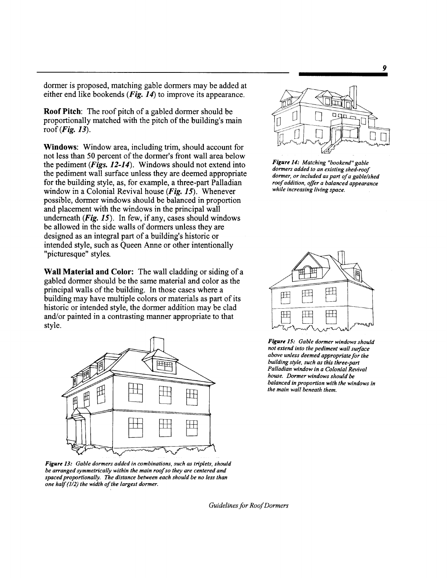dormer is proposed, matching gable dormers may be added at either end like bookends (*Fig. 14*) to improve its appearance.

Roof Pitch: The roof pitch of a gabled dormer should be proportionally matched with the pitch of the building's main roof (Fig. 13).

Windows: Window area, including trim, should account for not less than 50 percent of the dormer's front wall area below the pediment  $(Figs. 12-14)$ . Windows should not extend into the pediment wall surface unless they are deemed appropriate for the building style, as, for example, a three-part Palladian window in a Colonial Revival house (Fig. 15). Whenever possible, dormer windows should be balanced in proportion and placement with the windows in the principal wall underneath  $(Fig. 15)$ . In few, if any, cases should windows be allowed in the side walls of dormers unless they are designed as an integral part of a building's historic or intended style, such as Queen Anne or other intentionally "picturesque" styles.

Wall Material and Color: The wall cladding or siding of a gabled dormer should be the same material and color as the principal walls of the building. In those cases where a building may have multiple colors or materials as part of its historic or intended style, the dormer addition may be clad and/or painted in a contrasting manner appropriate to that style.



*Figure* 13: *Gable dormers added in combinations. such as triplets. should be arranged symmetrically within the main roofso they are centered and spaced proportionally. The distance between each should be no less than one half (1/2) the width of the largest dormer.* 



*Figure* 14: *Matching "bookend" gable dormers added to an existing shed-roof dormer. or included as part ofa gable/shed roofaddition. offer a balanced appearance while increasing living space.* 



*Figure* 15: *Gable dormer windows should not extend into the pediment wall surface above unless deemed appropriate for the building style. such as this three-part Palladian window in a Colonial Revival house. Dormer windows should be balanced in proportion with the windows in the main wall beneath them.*